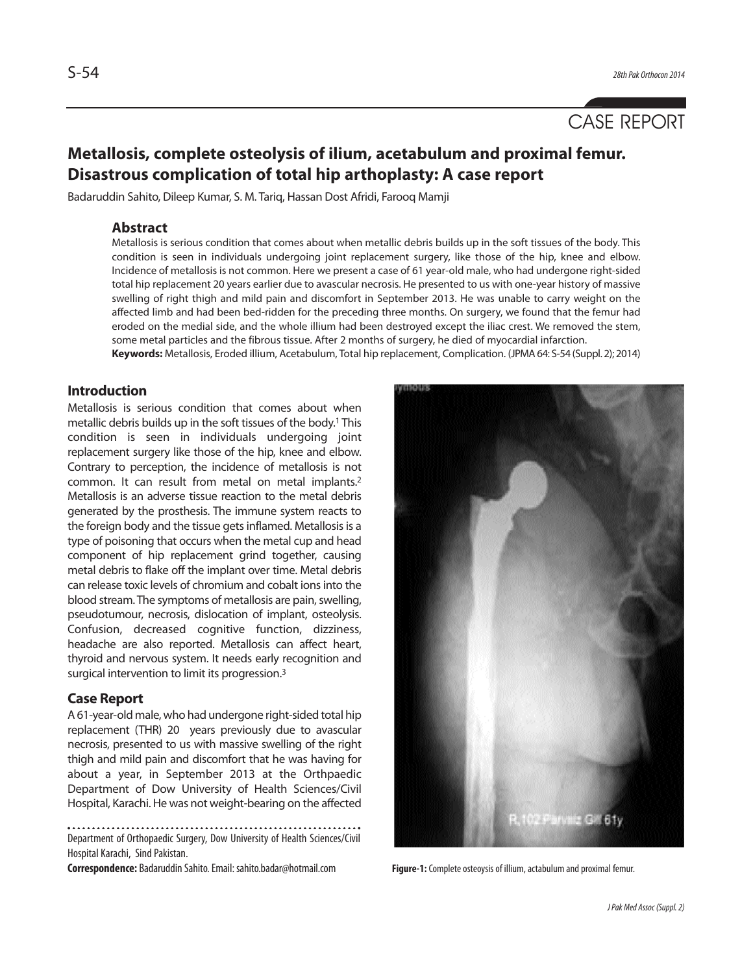

# **Metallosis, complete osteolysis of ilium, acetabulum and proximal femur. Disastrous complication of total hip arthoplasty: A case report**

Badaruddin Sahito, Dileep Kumar, S. M. Tariq, Hassan Dost Afridi, Farooq Mamji

## **Abstract**

Metallosis is serious condition that comes about when metallic debris builds up in the soft tissues of the body. This condition is seen in individuals undergoing joint replacement surgery, like those of the hip, knee and elbow. Incidence of metallosis is not common. Here we present a case of 61 year-old male, who had undergone right-sided total hip replacement 20 years earlier due to avascular necrosis. He presented to us with one-year history of massive swelling of right thigh and mild pain and discomfort in September 2013. He was unable to carry weight on the affected limb and had been bed-ridden for the preceding three months. On surgery, we found that the femur had eroded on the medial side, and the whole illium had been destroyed except the iliac crest. We removed the stem, some metal particles and the fibrous tissue. After 2 months of surgery, he died of myocardial infarction. **Keywords:** Metallosis, Eroded illium, Acetabulum, Total hip replacement, Complication. (JPMA 64: S-54 (Suppl. 2); 2014)

**Introduction**

Metallosis is serious condition that comes about when metallic debris builds up in the soft tissues of the body.<sup>1</sup> This condition is seen in individuals undergoing joint replacement surgery like those of the hip, knee and elbow. Contrary to perception, the incidence of metallosis is not common. It can result from metal on metal implants.<sup>2</sup> Metallosis is an adverse tissue reaction to the metal debris generated by the prosthesis. The immune system reacts to the foreign body and the tissue gets inflamed. Metallosis is a type of poisoning that occurs when the metal cup and head component of hip replacement grind together, causing metal debris to flake off the implant over time. Metal debris can release toxic levels of chromium and cobalt ions into the blood stream. The symptoms of metallosis are pain, swelling, pseudotumour, necrosis, dislocation of implant, osteolysis. Confusion, decreased cognitive function, dizziness, headache are also reported. Metallosis can affect heart, thyroid and nervous system. It needs early recognition and surgical intervention to limit its progression.<sup>3</sup>

### **Case Report**

A 61-year-old male, who had undergone right-sided total hip replacement (THR) 20 years previously due to avascular necrosis, presented to us with massive swelling of the right thigh and mild pain and discomfort that he was having for about a year, in September 2013 at the Orthpaedic Department of Dow University of Health Sciences/Civil Hospital, Karachi. He was not weight-bearing on the affected

Department of Orthopaedic Surgery, Dow University of Health Sciences/Civil Hospital Karachi, Sind Pakistan.

**Correspondence:** Badaruddin Sahito. Email: sahito.badar@hotmail.com **Figure-1:** Complete osteoysis of illium, actabulum and proximal femur.

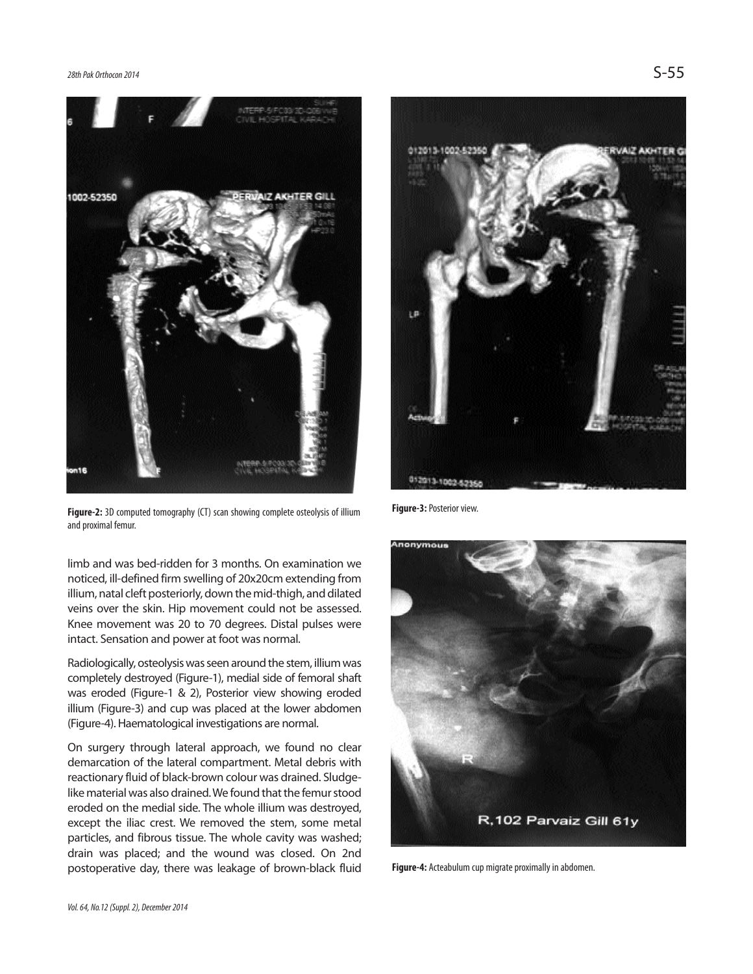

**Figure-2:** 3D computed tomography (CT) scan showing complete osteolysis of illium and proximal femur.

limb and was bed-ridden for 3 months. On examination we noticed, ill-defined firm swelling of 20x20cm extending from illium, natal cleft posteriorly, down the mid-thigh, and dilated veins over the skin. Hip movement could not be assessed. Knee movement was 20 to 70 degrees. Distal pulses were intact. Sensation and power at foot was normal.

Radiologically, osteolysis was seen around the stem, illium was completely destroyed (Figure-1), medial side of femoral shaft was eroded (Figure-1 & 2), Posterior view showing eroded illium (Figure-3) and cup was placed at the lower abdomen (Figure-4). Haematological investigations are normal.

On surgery through lateral approach, we found no clear demarcation of the lateral compartment. Metal debris with reactionary fluid of black-brown colour was drained. Sludgelike material was also drained. We found that the femur stood eroded on the medial side. The whole illium was destroyed, except the iliac crest. We removed the stem, some metal particles, and fibrous tissue. The whole cavity was washed; drain was placed; and the wound was closed. On 2nd postoperative day, there was leakage of brown-black fluid



**Figure-3:** Posterior view.



**Figure-4:** Acteabulum cup migrate proximally in abdomen.